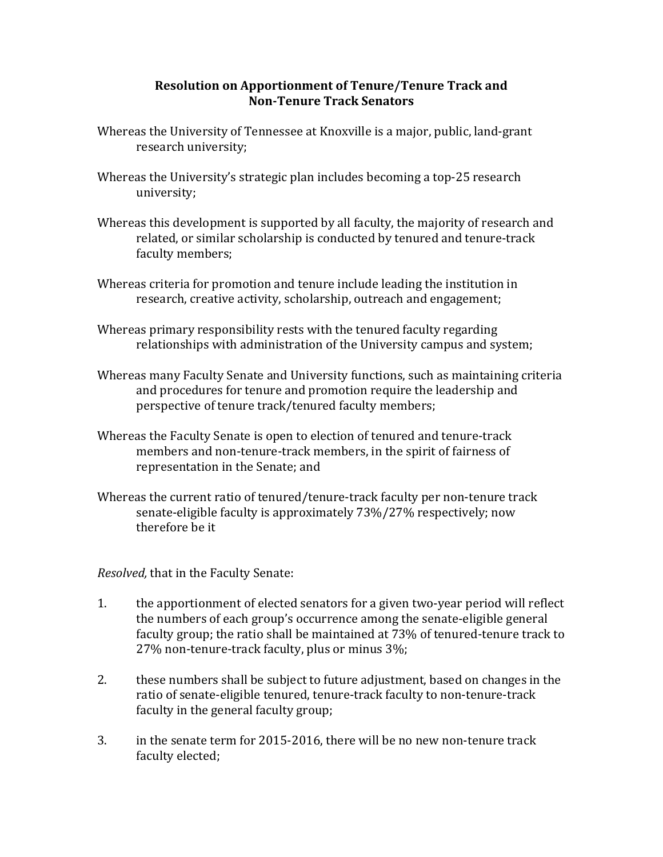## **Resolution on Apportionment of Tenure/Tenure Track and Non-Tenure Track Senators**

- Whereas the University of Tennessee at Knoxville is a major, public, land-grant research university;
- Whereas the University's strategic plan includes becoming a top-25 research university;
- Whereas this development is supported by all faculty, the majority of research and related, or similar scholarship is conducted by tenured and tenure-track faculty members;
- Whereas criteria for promotion and tenure include leading the institution in research, creative activity, scholarship, outreach and engagement;
- Whereas primary responsibility rests with the tenured faculty regarding relationships with administration of the University campus and system;
- Whereas many Faculty Senate and University functions, such as maintaining criteria and procedures for tenure and promotion require the leadership and perspective of tenure track/tenured faculty members;
- Whereas the Faculty Senate is open to election of tenured and tenure-track members and non-tenure-track members, in the spirit of fairness of representation in the Senate; and
- Whereas the current ratio of tenured/tenure-track faculty per non-tenure track senate-eligible faculty is approximately 73%/27% respectively; now therefore be it

*Resolved,* that in the Faculty Senate:

- 1. the apportionment of elected senators for a given two-year period will reflect the numbers of each group's occurrence among the senate-eligible general faculty group; the ratio shall be maintained at 73% of tenured-tenure track to 27% non-tenure-track faculty, plus or minus 3%;
- 2. these numbers shall be subject to future adjustment, based on changes in the ratio of senate-eligible tenured, tenure-track faculty to non-tenure-track faculty in the general faculty group;
- 3. in the senate term for 2015-2016, there will be no new non-tenure track faculty elected;